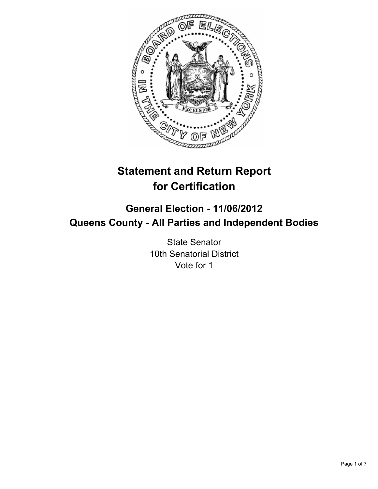

# **Statement and Return Report for Certification**

## **General Election - 11/06/2012 Queens County - All Parties and Independent Bodies**

State Senator 10th Senatorial District Vote for 1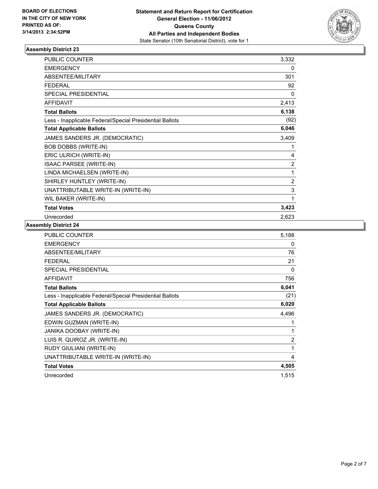

| PUBLIC COUNTER                                           | 3,332 |
|----------------------------------------------------------|-------|
| <b>EMERGENCY</b>                                         | 0     |
| ABSENTEE/MILITARY                                        | 301   |
| <b>FEDERAL</b>                                           | 92    |
| <b>SPECIAL PRESIDENTIAL</b>                              | 0     |
| <b>AFFIDAVIT</b>                                         | 2,413 |
| <b>Total Ballots</b>                                     | 6,138 |
| Less - Inapplicable Federal/Special Presidential Ballots | (92)  |
| <b>Total Applicable Ballots</b>                          | 6,046 |
| JAMES SANDERS JR. (DEMOCRATIC)                           | 3,409 |
| BOB DOBBS (WRITE-IN)                                     | 1     |
| ERIC ULRICH (WRITE-IN)                                   | 4     |
| ISAAC PARSEE (WRITE-IN)                                  | 2     |
| LINDA MICHAELSEN (WRITE-IN)                              | 1     |
| SHIRLEY HUNTLEY (WRITE-IN)                               | 2     |
| UNATTRIBUTABLE WRITE-IN (WRITE-IN)                       | 3     |
| WIL BAKER (WRITE-IN)                                     | 1     |
| <b>Total Votes</b>                                       | 3,423 |
| Unrecorded                                               | 2,623 |

| <b>PUBLIC COUNTER</b>                                    | 5,188          |
|----------------------------------------------------------|----------------|
| <b>EMERGENCY</b>                                         | 0              |
| <b>ABSENTEE/MILITARY</b>                                 | 76             |
| <b>FEDERAL</b>                                           | 21             |
| SPECIAL PRESIDENTIAL                                     | 0              |
| <b>AFFIDAVIT</b>                                         | 756            |
| <b>Total Ballots</b>                                     | 6,041          |
| Less - Inapplicable Federal/Special Presidential Ballots | (21)           |
| <b>Total Applicable Ballots</b>                          | 6,020          |
| JAMES SANDERS JR. (DEMOCRATIC)                           | 4,496          |
| EDWIN GUZMAN (WRITE-IN)                                  | 1              |
| JANIKA DOOBAY (WRITE-IN)                                 | 1              |
| LUIS R. QUIROZ JR. (WRITE-IN)                            | $\overline{2}$ |
| RUDY GIULIANI (WRITE-IN)                                 | 1              |
| UNATTRIBUTABLE WRITE-IN (WRITE-IN)                       | 4              |
| <b>Total Votes</b>                                       | 4,505          |
| Unrecorded                                               | 1,515          |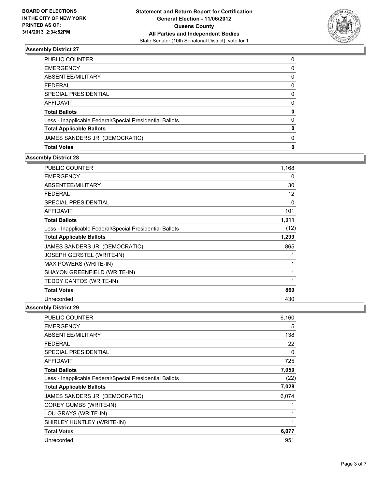

| <b>Total Votes</b>                                       | 0        |
|----------------------------------------------------------|----------|
| JAMES SANDERS JR. (DEMOCRATIC)                           | 0        |
| <b>Total Applicable Ballots</b>                          | 0        |
| Less - Inapplicable Federal/Special Presidential Ballots | $\Omega$ |
| <b>Total Ballots</b>                                     | 0        |
| <b>AFFIDAVIT</b>                                         | 0        |
| SPECIAL PRESIDENTIAL                                     | 0        |
| <b>FEDERAL</b>                                           | 0        |
| ABSENTEE/MILITARY                                        | 0        |
| <b>EMERGENCY</b>                                         | 0        |
| PUBLIC COUNTER                                           | 0        |

### **Assembly District 28**

| <b>PUBLIC COUNTER</b>                                    | 1,168 |
|----------------------------------------------------------|-------|
| <b>EMERGENCY</b>                                         | 0     |
| ABSENTEE/MILITARY                                        | 30    |
| <b>FEDERAL</b>                                           | 12    |
| <b>SPECIAL PRESIDENTIAL</b>                              | 0     |
| <b>AFFIDAVIT</b>                                         | 101   |
| <b>Total Ballots</b>                                     | 1,311 |
| Less - Inapplicable Federal/Special Presidential Ballots | (12)  |
| <b>Total Applicable Ballots</b>                          | 1,299 |
| JAMES SANDERS JR. (DEMOCRATIC)                           | 865   |
| <b>JOSEPH GERSTEL (WRITE-IN)</b>                         | 1     |
| MAX POWERS (WRITE-IN)                                    | 1     |
| SHAYON GREENFIELD (WRITE-IN)                             | 1     |
| TEDDY CANTOS (WRITE-IN)                                  | 1     |
| <b>Total Votes</b>                                       | 869   |
| Unrecorded                                               | 430   |

| <b>PUBLIC COUNTER</b>                                    | 6,160 |
|----------------------------------------------------------|-------|
| <b>EMERGENCY</b>                                         | 5     |
| ABSENTEE/MILITARY                                        | 138   |
| FEDERAL                                                  | 22    |
| <b>SPECIAL PRESIDENTIAL</b>                              | 0     |
| <b>AFFIDAVIT</b>                                         | 725   |
| <b>Total Ballots</b>                                     | 7,050 |
| Less - Inapplicable Federal/Special Presidential Ballots | (22)  |
| <b>Total Applicable Ballots</b>                          | 7,028 |
| JAMES SANDERS JR. (DEMOCRATIC)                           | 6,074 |
| <b>COREY GUMBS (WRITE-IN)</b>                            |       |
| LOU GRAYS (WRITE-IN)                                     | 1     |
| SHIRLEY HUNTLEY (WRITE-IN)                               | 1     |
| <b>Total Votes</b>                                       | 6,077 |
| Unrecorded                                               | 951   |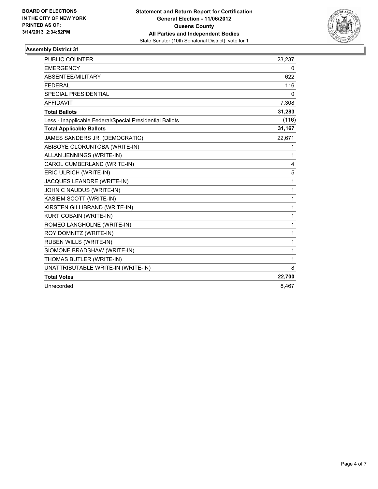

| <b>PUBLIC COUNTER</b>                                    | 23,237       |
|----------------------------------------------------------|--------------|
| <b>EMERGENCY</b>                                         | 0            |
| ABSENTEE/MILITARY                                        | 622          |
| <b>FEDERAL</b>                                           | 116          |
| SPECIAL PRESIDENTIAL                                     | 0            |
| <b>AFFIDAVIT</b>                                         | 7,308        |
| <b>Total Ballots</b>                                     | 31,283       |
| Less - Inapplicable Federal/Special Presidential Ballots | (116)        |
| <b>Total Applicable Ballots</b>                          | 31,167       |
| JAMES SANDERS JR. (DEMOCRATIC)                           | 22,671       |
| ABISOYE OLORUNTOBA (WRITE-IN)                            | 1            |
| ALLAN JENNINGS (WRITE-IN)                                | 1            |
| CAROL CUMBERLAND (WRITE-IN)                              | 4            |
| ERIC ULRICH (WRITE-IN)                                   | 5            |
| JACQUES LEANDRE (WRITE-IN)                               | 1            |
| JOHN C NAUDUS (WRITE-IN)                                 | $\mathbf{1}$ |
| KASIEM SCOTT (WRITE-IN)                                  | 1            |
| KIRSTEN GILLIBRAND (WRITE-IN)                            | 1            |
| <b>KURT COBAIN (WRITE-IN)</b>                            | 1            |
| ROMEO LANGHOLNE (WRITE-IN)                               | $\mathbf{1}$ |
| ROY DOMNITZ (WRITE-IN)                                   | 1            |
| <b>RUBEN WILLS (WRITE-IN)</b>                            | 1            |
| SIOMONE BRADSHAW (WRITE-IN)                              | 1            |
| THOMAS BUTLER (WRITE-IN)                                 | 1            |
| UNATTRIBUTABLE WRITE-IN (WRITE-IN)                       | 8            |
| <b>Total Votes</b>                                       | 22,700       |
| Unrecorded                                               | 8.467        |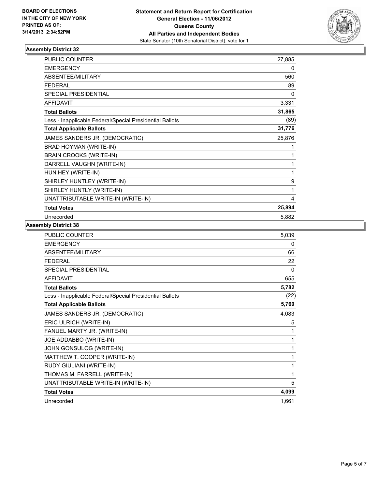

| <b>PUBLIC COUNTER</b>                                    | 27,885 |
|----------------------------------------------------------|--------|
| <b>EMERGENCY</b>                                         | 0      |
| ABSENTEE/MILITARY                                        | 560    |
| <b>FEDERAL</b>                                           | 89     |
| <b>SPECIAL PRESIDENTIAL</b>                              | 0      |
| <b>AFFIDAVIT</b>                                         | 3,331  |
| <b>Total Ballots</b>                                     | 31,865 |
| Less - Inapplicable Federal/Special Presidential Ballots | (89)   |
| <b>Total Applicable Ballots</b>                          | 31,776 |
| JAMES SANDERS JR. (DEMOCRATIC)                           | 25,876 |
| BRAD HOYMAN (WRITE-IN)                                   | 1      |
| <b>BRAIN CROOKS (WRITE-IN)</b>                           | 1      |
| DARRELL VAUGHN (WRITE-IN)                                | 1      |
| HUN HEY (WRITE-IN)                                       | 1      |
| SHIRLEY HUNTLEY (WRITE-IN)                               | 9      |
| SHIRLEY HUNTLY (WRITE-IN)                                | 1      |
| UNATTRIBUTABLE WRITE-IN (WRITE-IN)                       | 4      |
| <b>Total Votes</b>                                       | 25,894 |
| Unrecorded                                               | 5,882  |

| <b>PUBLIC COUNTER</b>                                    | 5,039 |
|----------------------------------------------------------|-------|
| <b>EMERGENCY</b>                                         | 0     |
| ABSENTEE/MILITARY                                        | 66    |
| <b>FEDERAL</b>                                           | 22    |
| <b>SPECIAL PRESIDENTIAL</b>                              | 0     |
| <b>AFFIDAVIT</b>                                         | 655   |
| <b>Total Ballots</b>                                     | 5,782 |
| Less - Inapplicable Federal/Special Presidential Ballots | (22)  |
| <b>Total Applicable Ballots</b>                          | 5,760 |
| JAMES SANDERS JR. (DEMOCRATIC)                           | 4,083 |
| ERIC ULRICH (WRITE-IN)                                   | 5     |
| FANUEL MARTY JR. (WRITE-IN)                              | 1     |
| JOE ADDABBO (WRITE-IN)                                   | 1     |
| JOHN GONSULOG (WRITE-IN)                                 | 1     |
| MATTHEW T. COOPER (WRITE-IN)                             | 1     |
| RUDY GIULIANI (WRITE-IN)                                 | 1     |
| THOMAS M. FARRELL (WRITE-IN)                             | 1     |
| UNATTRIBUTABLE WRITE-IN (WRITE-IN)                       | 5     |
| <b>Total Votes</b>                                       | 4,099 |
| Unrecorded                                               | 1,661 |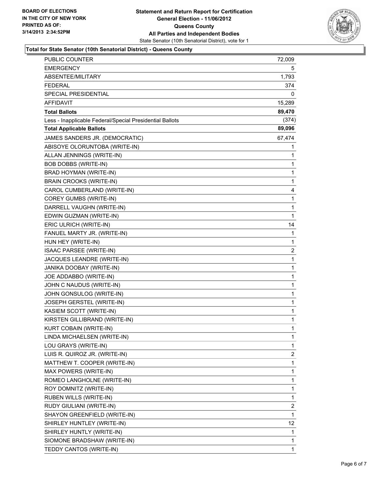

#### **Total for State Senator (10th Senatorial District) - Queens County**

| PUBLIC COUNTER                                           | 72,009       |
|----------------------------------------------------------|--------------|
| <b>EMERGENCY</b>                                         | 5            |
| ABSENTEE/MILITARY                                        | 1,793        |
| <b>FEDERAL</b>                                           | 374          |
| <b>SPECIAL PRESIDENTIAL</b>                              | 0            |
| <b>AFFIDAVIT</b>                                         | 15,289       |
| <b>Total Ballots</b>                                     | 89,470       |
| Less - Inapplicable Federal/Special Presidential Ballots | (374)        |
| <b>Total Applicable Ballots</b>                          | 89,096       |
| JAMES SANDERS JR. (DEMOCRATIC)                           | 67,474       |
| ABISOYE OLORUNTOBA (WRITE-IN)                            | 1            |
| ALLAN JENNINGS (WRITE-IN)                                | 1            |
| BOB DOBBS (WRITE-IN)                                     | 1            |
| BRAD HOYMAN (WRITE-IN)                                   | 1            |
| <b>BRAIN CROOKS (WRITE-IN)</b>                           | 1            |
| CAROL CUMBERLAND (WRITE-IN)                              | 4            |
| <b>COREY GUMBS (WRITE-IN)</b>                            | 1            |
| DARRELL VAUGHN (WRITE-IN)                                | 1            |
| EDWIN GUZMAN (WRITE-IN)                                  | $\mathbf{1}$ |
| ERIC ULRICH (WRITE-IN)                                   | 14           |
| FANUEL MARTY JR. (WRITE-IN)                              | 1            |
| HUN HEY (WRITE-IN)                                       | $\mathbf{1}$ |
| ISAAC PARSEE (WRITE-IN)                                  | 2            |
| JACQUES LEANDRE (WRITE-IN)                               | 1            |
| JANIKA DOOBAY (WRITE-IN)                                 | 1            |
| JOE ADDABBO (WRITE-IN)                                   | 1            |
| JOHN C NAUDUS (WRITE-IN)                                 | 1            |
| JOHN GONSULOG (WRITE-IN)                                 | 1            |
| JOSEPH GERSTEL (WRITE-IN)                                | 1            |
| KASIEM SCOTT (WRITE-IN)                                  | 1            |
| KIRSTEN GILLIBRAND (WRITE-IN)                            | 1            |
| KURT COBAIN (WRITE-IN)                                   | 1            |
| LINDA MICHAELSEN (WRITE-IN)                              | $\mathbf{1}$ |
| LOU GRAYS (WRITE-IN)                                     | 1            |
| LUIS R. QUIROZ JR. (WRITE-IN)                            | 2            |
| MATTHEW T. COOPER (WRITE-IN)                             | 1            |
| MAX POWERS (WRITE-IN)                                    | 1            |
| ROMEO LANGHOLNE (WRITE-IN)                               | 1            |
| ROY DOMNITZ (WRITE-IN)                                   | 1            |
| RUBEN WILLS (WRITE-IN)                                   | 1            |
| RUDY GIULIANI (WRITE-IN)                                 | 2            |
| SHAYON GREENFIELD (WRITE-IN)                             | 1            |
| SHIRLEY HUNTLEY (WRITE-IN)                               | 12           |
| SHIRLEY HUNTLY (WRITE-IN)                                | 1            |
| SIOMONE BRADSHAW (WRITE-IN)                              | 1            |
| TEDDY CANTOS (WRITE-IN)                                  | $\mathbf{1}$ |
|                                                          |              |